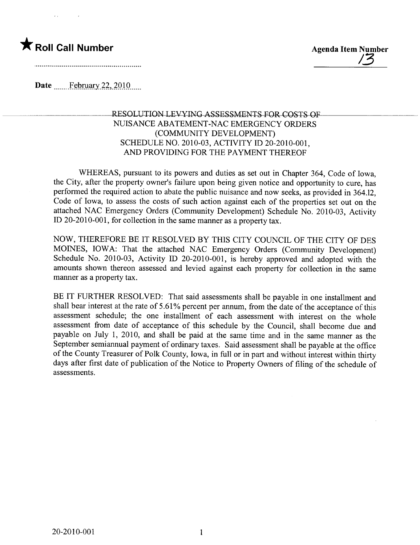



Date  $\frac{\text{February }22,2010...}{\text{February }22,2010...}$ 

## RESOLUTION LEVYING ASSESSMENTS FOR COSTS OF NUISANCE ABATEMENT -NAC EMERGENCY ORDERS (COMMUNITY DEVELOPMENT) SCHEDULE NO. 2010-03, ACTIVITY ID 20-2010-001, AND PROVIDING FOR THE PAYMENT THEREOF

WHEREAS, pursuant to its powers and duties as set out in Chapter 364, Code of Iowa, the City, after the property owner's failure upon being given notice and opportunity to cure, has performed the required action to abate the public nuisance and now seeks, as provided in 364.12, Code of Iowa, to assess the costs of such action against each of the properties set out on the attached NAC Emergency Orders (Community Development) Schedule No. 2010-03, Activity ID 20-2010-001, for collection in the same manner as a property tax.

NOW, THEREFORE BE IT RESOLVED BY THIS CITY COUNCIL OF THE CITY OF DES MOINES, lOW A: That the attached NAC Emergency Orders (Community Development) Schedule No. 2010-03, Activity ID 20-2010-001, is hereby approved and adopted with the amounts shown thereon assessed and levied against each property for collection in the same manner as a property tax.

BE IT FURTHER RESOLVED: That said assessments shall be payable in one installment and shall bear interest at the rate of 5.61 % percent per annum, from the date of the acceptance of this assessment schedule; the one installment of each assessment with interest on the whole assessment from date of acceptance of this schedule by the Council, shall become due and payable on July 1, 2010, and shall be paid at the same time and in the same manner as the September semiannual payment of ordinary taxes. Said assessment shall be payable at the office of the County Treasurer of Polk County, Iowa, in full or in part and without interest within thirty days after first date of publication of the Notice to Property Owners of fiing of the schedule of assessments.